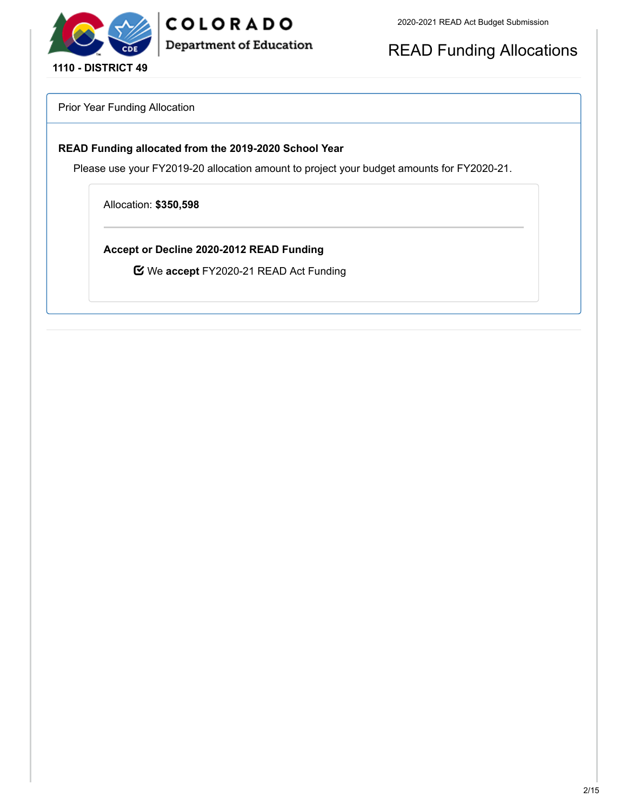

READ Funding Allocations

Prior Year Funding Allocation

## **READ Funding allocated from the 2019-2020 School Year**

COLORADO

**Department of Education** 

Please use your FY2019-20 allocation amount to project your budget amounts for FY2020-21.

Allocation: **\$350,598**

**Accept or Decline 2020-2012 READ Funding**

We **accept** FY2020-21 READ Act Funding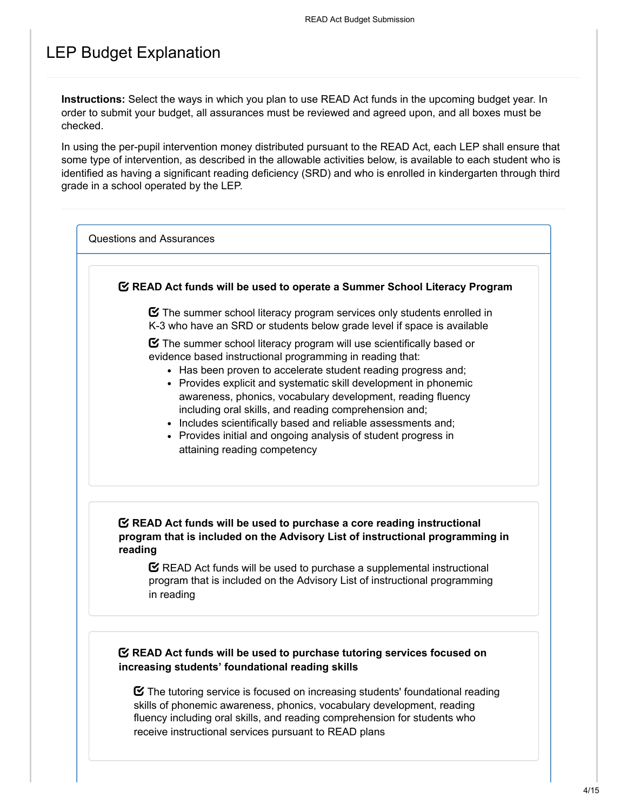## LEP Budget Explanation

**Instructions:** Select the ways in which you plan to use READ Act funds in the upcoming budget year. In order to submit your budget, all assurances must be reviewed and agreed upon, and all boxes must be checked.

In using the per-pupil intervention money distributed pursuant to the READ Act, each LEP shall ensure that some type of intervention, as described in the allowable activities below, is available to each student who is identified as having a significant reading deficiency (SRD) and who is enrolled in kindergarten through third grade in a school operated by the LEP.

Questions and Assurances

### **READ Act funds will be used to operate a Summer School Literacy Program**

 $\boldsymbol{\heartsuit}$  The summer school literacy program services only students enrolled in K-3 who have an SRD or students below grade level if space is available

 $\boldsymbol{\Xi}$  The summer school literacy program will use scientifically based or evidence based instructional programming in reading that:

- Has been proven to accelerate student reading progress and:
- Provides explicit and systematic skill development in phonemic awareness, phonics, vocabulary development, reading fluency including oral skills, and reading comprehension and;
- Includes scientifically based and reliable assessments and;
- Provides initial and ongoing analysis of student progress in attaining reading competency

## **READ Act funds will be used to purchase a core reading instructional program that is included on the Advisory List of instructional programming in reading**

 $\mathbf C$  READ Act funds will be used to purchase a supplemental instructional program that is included on the Advisory List of instructional programming in reading

### **READ Act funds will be used to purchase tutoring services focused on increasing students' foundational reading skills**

 $\boldsymbol{\heartsuit}$  The tutoring service is focused on increasing students' foundational reading skills of phonemic awareness, phonics, vocabulary development, reading fluency including oral skills, and reading comprehension for students who receive instructional services pursuant to READ plans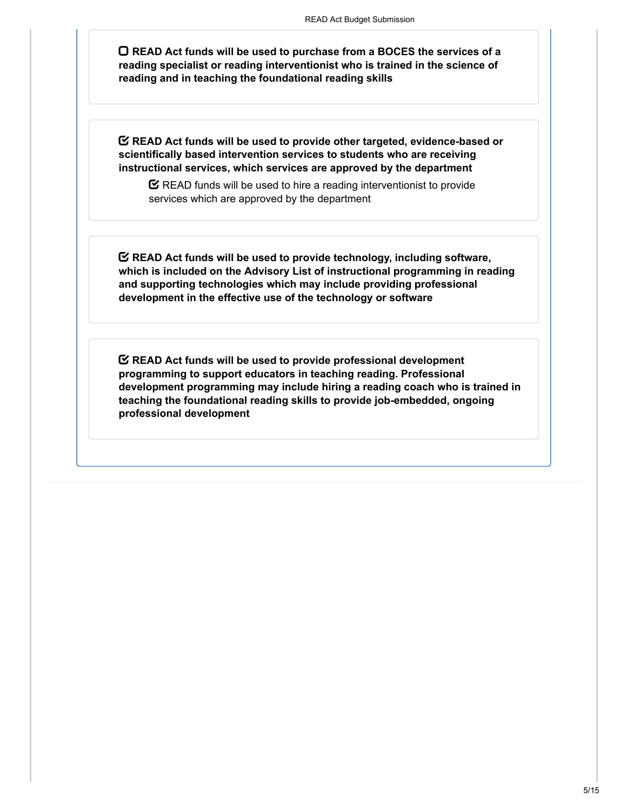**READ Act funds will be used to purchase from a BOCES the services of a reading specialist or reading interventionist who is trained in the science of reading and in teaching the foundational reading skills**

**READ Act funds will be used to provide other targeted, evidence-based or scientifically based intervention services to students who are receiving instructional services, which services are approved by the department**

 $\mathbf C$  READ funds will be used to hire a reading interventionist to provide services which are approved by the department

**READ Act funds will be used to provide technology, including software, which is included on the Advisory List of instructional programming in reading and supporting technologies which may include providing professional development in the effective use of the technology or software**

**READ Act funds will be used to provide professional development programming to support educators in teaching reading. Professional development programming may include hiring a reading coach who is trained in teaching the foundational reading skills to provide job-embedded, ongoing professional development**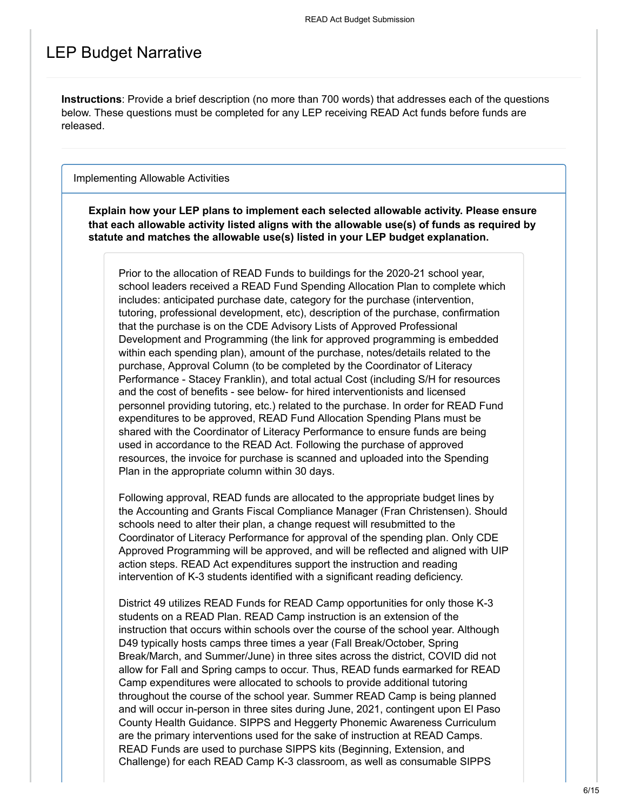# LEP Budget Narrative

**Instructions**: Provide a brief description (no more than 700 words) that addresses each of the questions below. These questions must be completed for any LEP receiving READ Act funds before funds are released.

#### Implementing Allowable Activities

**Explain how your LEP plans to implement each selected allowable activity. Please ensure that each allowable activity listed aligns with the allowable use(s) of funds as required by statute and matches the allowable use(s) listed in your LEP budget explanation.**

Prior to the allocation of READ Funds to buildings for the 2020-21 school year, school leaders received a READ Fund Spending Allocation Plan to complete which includes: anticipated purchase date, category for the purchase (intervention, tutoring, professional development, etc), description of the purchase, confirmation that the purchase is on the CDE Advisory Lists of Approved Professional Development and Programming (the link for approved programming is embedded within each spending plan), amount of the purchase, notes/details related to the purchase, Approval Column (to be completed by the Coordinator of Literacy Performance - Stacey Franklin), and total actual Cost (including S/H for resources and the cost of benefits - see below- for hired interventionists and licensed personnel providing tutoring, etc.) related to the purchase. In order for READ Fund expenditures to be approved, READ Fund Allocation Spending Plans must be shared with the Coordinator of Literacy Performance to ensure funds are being used in accordance to the READ Act. Following the purchase of approved resources, the invoice for purchase is scanned and uploaded into the Spending Plan in the appropriate column within 30 days.

Following approval, READ funds are allocated to the appropriate budget lines by the Accounting and Grants Fiscal Compliance Manager (Fran Christensen). Should schools need to alter their plan, a change request will resubmitted to the Coordinator of Literacy Performance for approval of the spending plan. Only CDE Approved Programming will be approved, and will be reflected and aligned with UIP action steps. READ Act expenditures support the instruction and reading intervention of K-3 students identified with a significant reading deficiency.

District 49 utilizes READ Funds for READ Camp opportunities for only those K-3 students on a READ Plan. READ Camp instruction is an extension of the instruction that occurs within schools over the course of the school year. Although D49 typically hosts camps three times a year (Fall Break/October, Spring Break/March, and Summer/June) in three sites across the district, COVID did not allow for Fall and Spring camps to occur. Thus, READ funds earmarked for READ Camp expenditures were allocated to schools to provide additional tutoring throughout the course of the school year. Summer READ Camp is being planned and will occur in-person in three sites during June, 2021, contingent upon El Paso County Health Guidance. SIPPS and Heggerty Phonemic Awareness Curriculum are the primary interventions used for the sake of instruction at READ Camps. READ Funds are used to purchase SIPPS kits (Beginning, Extension, and Challenge) for each READ Camp K-3 classroom, as well as consumable SIPPS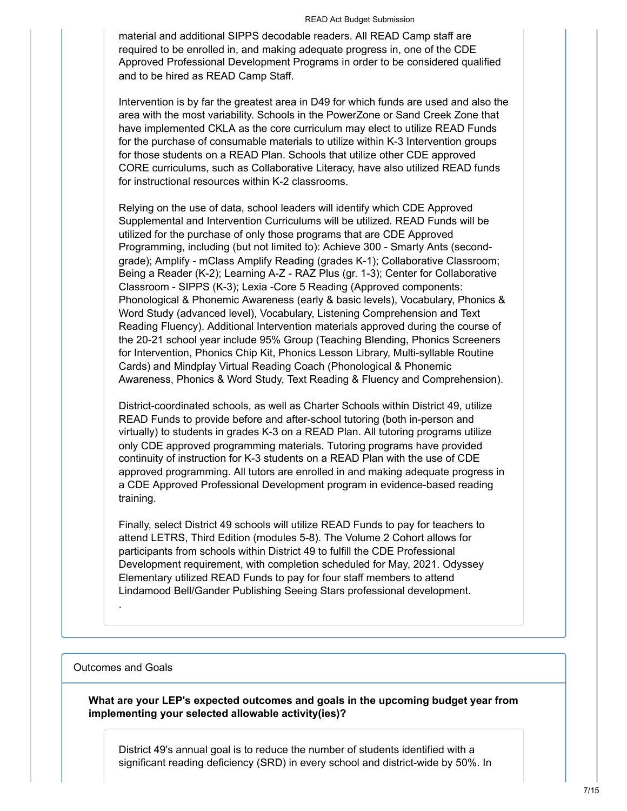material and additional SIPPS decodable readers. All READ Camp staff are required to be enrolled in, and making adequate progress in, one of the CDE Approved Professional Development Programs in order to be considered qualified and to be hired as READ Camp Staff.

Intervention is by far the greatest area in D49 for which funds are used and also the area with the most variability. Schools in the PowerZone or Sand Creek Zone that have implemented CKLA as the core curriculum may elect to utilize READ Funds for the purchase of consumable materials to utilize within K-3 Intervention groups for those students on a READ Plan. Schools that utilize other CDE approved CORE curriculums, such as Collaborative Literacy, have also utilized READ funds for instructional resources within K-2 classrooms.

Relying on the use of data, school leaders will identify which CDE Approved Supplemental and Intervention Curriculums will be utilized. READ Funds will be utilized for the purchase of only those programs that are CDE Approved Programming, including (but not limited to): Achieve 300 - Smarty Ants (secondgrade); Amplify - mClass Amplify Reading (grades K-1); Collaborative Classroom; Being a Reader (K-2); Learning A-Z - RAZ Plus (gr. 1-3); Center for Collaborative Classroom - SIPPS (K-3); Lexia -Core 5 Reading (Approved components: Phonological & Phonemic Awareness (early & basic levels), Vocabulary, Phonics & Word Study (advanced level), Vocabulary, Listening Comprehension and Text Reading Fluency). Additional Intervention materials approved during the course of the 20-21 school year include 95% Group (Teaching Blending, Phonics Screeners for Intervention, Phonics Chip Kit, Phonics Lesson Library, Multi-syllable Routine Cards) and Mindplay Virtual Reading Coach (Phonological & Phonemic Awareness, Phonics & Word Study, Text Reading & Fluency and Comprehension).

District-coordinated schools, as well as Charter Schools within District 49, utilize READ Funds to provide before and after-school tutoring (both in-person and virtually) to students in grades K-3 on a READ Plan. All tutoring programs utilize only CDE approved programming materials. Tutoring programs have provided continuity of instruction for K-3 students on a READ Plan with the use of CDE approved programming. All tutors are enrolled in and making adequate progress in a CDE Approved Professional Development program in evidence-based reading training.

Finally, select District 49 schools will utilize READ Funds to pay for teachers to attend LETRS, Third Edition (modules 5-8). The Volume 2 Cohort allows for participants from schools within District 49 to fulfill the CDE Professional Development requirement, with completion scheduled for May, 2021. Odyssey Elementary utilized READ Funds to pay for four staff members to attend Lindamood Bell/Gander Publishing Seeing Stars professional development.

#### Outcomes and Goals

.

**What are your LEP's expected outcomes and goals in the upcoming budget year from implementing your selected allowable activity(ies)?**

District 49's annual goal is to reduce the number of students identified with a significant reading deficiency (SRD) in every school and district-wide by 50%. In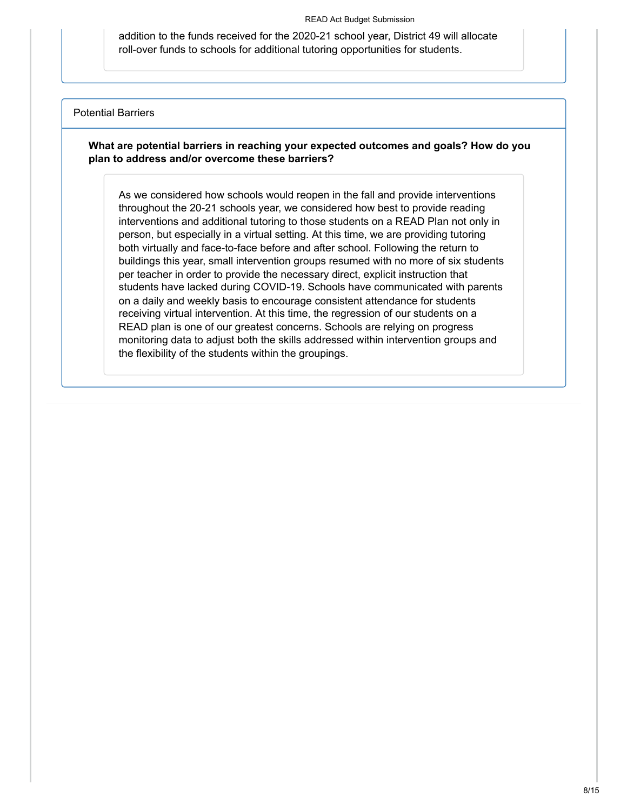addition to the funds received for the 2020-21 school year, District 49 will allocate roll-over funds to schools for additional tutoring opportunities for students.

#### Potential Barriers

### **What are potential barriers in reaching your expected outcomes and goals? How do you plan to address and/or overcome these barriers?**

As we considered how schools would reopen in the fall and provide interventions throughout the 20-21 schools year, we considered how best to provide reading interventions and additional tutoring to those students on a READ Plan not only in person, but especially in a virtual setting. At this time, we are providing tutoring both virtually and face-to-face before and after school. Following the return to buildings this year, small intervention groups resumed with no more of six students per teacher in order to provide the necessary direct, explicit instruction that students have lacked during COVID-19. Schools have communicated with parents on a daily and weekly basis to encourage consistent attendance for students receiving virtual intervention. At this time, the regression of our students on a READ plan is one of our greatest concerns. Schools are relying on progress monitoring data to adjust both the skills addressed within intervention groups and the flexibility of the students within the groupings.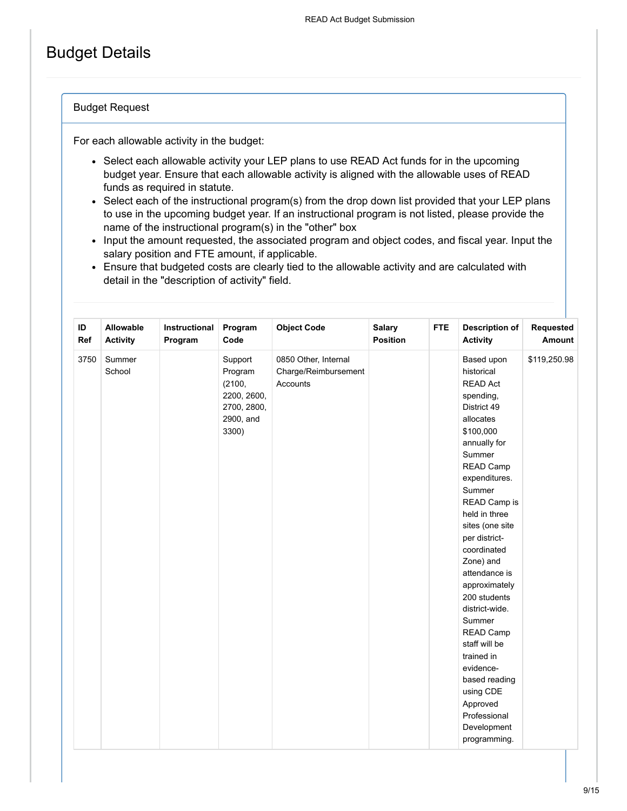# Budget Details

#### Budget Request

For each allowable activity in the budget:

- Select each allowable activity your LEP plans to use READ Act funds for in the upcoming budget year. Ensure that each allowable activity is aligned with the allowable uses of READ funds as required in statute.
- Select each of the instructional program(s) from the drop down list provided that your LEP plans to use in the upcoming budget year. If an instructional program is not listed, please provide the name of the instructional program(s) in the "other" box
- Input the amount requested, the associated program and object codes, and fiscal year. Input the salary position and FTE amount, if applicable.
- Ensure that budgeted costs are clearly tied to the allowable activity and are calculated with detail in the "description of activity" field.

| ID<br>Ref | Allowable<br><b>Activity</b> | Instructional<br>Program | Program<br>Code                                                                  | <b>Object Code</b>                                       | <b>Salary</b><br><b>Position</b> | <b>FTE</b> | <b>Description of</b><br><b>Activity</b>                                                                                                                                                                                                                                                                                                                                                                                                                                                             | Requested<br>Amount |
|-----------|------------------------------|--------------------------|----------------------------------------------------------------------------------|----------------------------------------------------------|----------------------------------|------------|------------------------------------------------------------------------------------------------------------------------------------------------------------------------------------------------------------------------------------------------------------------------------------------------------------------------------------------------------------------------------------------------------------------------------------------------------------------------------------------------------|---------------------|
| 3750      | Summer<br>School             |                          | Support<br>Program<br>(2100,<br>2200, 2600,<br>2700, 2800,<br>2900, and<br>3300) | 0850 Other, Internal<br>Charge/Reimbursement<br>Accounts |                                  |            | Based upon<br>historical<br><b>READ Act</b><br>spending,<br>District 49<br>allocates<br>\$100,000<br>annually for<br>Summer<br>READ Camp<br>expenditures.<br>Summer<br>READ Camp is<br>held in three<br>sites (one site<br>per district-<br>coordinated<br>Zone) and<br>attendance is<br>approximately<br>200 students<br>district-wide.<br>Summer<br>READ Camp<br>staff will be<br>trained in<br>evidence-<br>based reading<br>using CDE<br>Approved<br>Professional<br>Development<br>programming. | \$119,250.98        |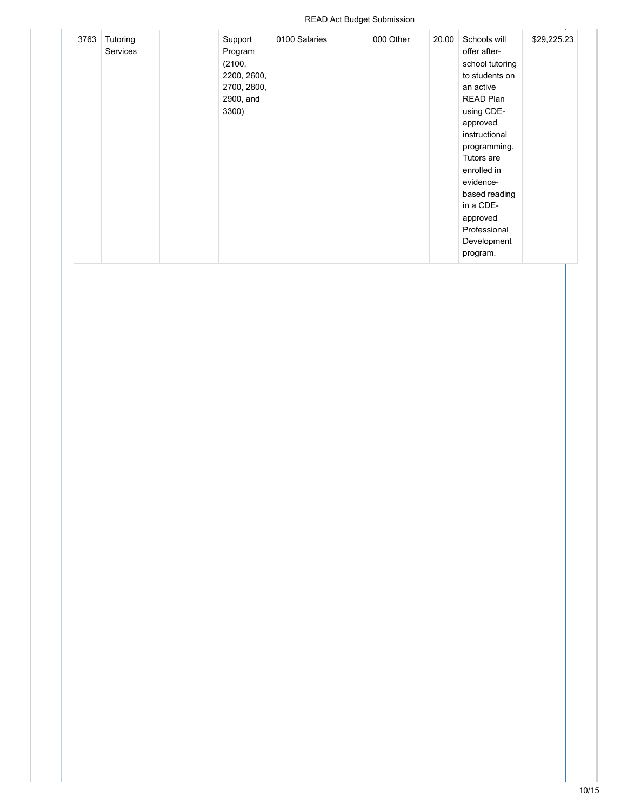| 3763 | Tutoring | Support     | 0100 Salaries | 000 Other | 20.00 | Schools will    | \$29,225.23 |
|------|----------|-------------|---------------|-----------|-------|-----------------|-------------|
|      | Services | Program     |               |           |       | offer after-    |             |
|      |          | (2100,      |               |           |       | school tutoring |             |
|      |          | 2200, 2600, |               |           |       | to students on  |             |
|      |          | 2700, 2800, |               |           |       | an active       |             |
|      |          | 2900, and   |               |           |       | READ Plan       |             |
|      |          | 3300)       |               |           |       | using CDE-      |             |
|      |          |             |               |           |       | approved        |             |
|      |          |             |               |           |       | instructional   |             |
|      |          |             |               |           |       | programming.    |             |
|      |          |             |               |           |       | Tutors are      |             |
|      |          |             |               |           |       | enrolled in     |             |
|      |          |             |               |           |       | evidence-       |             |
|      |          |             |               |           |       | based reading   |             |
|      |          |             |               |           |       | in a CDE-       |             |
|      |          |             |               |           |       | approved        |             |
|      |          |             |               |           |       | Professional    |             |
|      |          |             |               |           |       | Development     |             |
|      |          |             |               |           |       | program.        |             |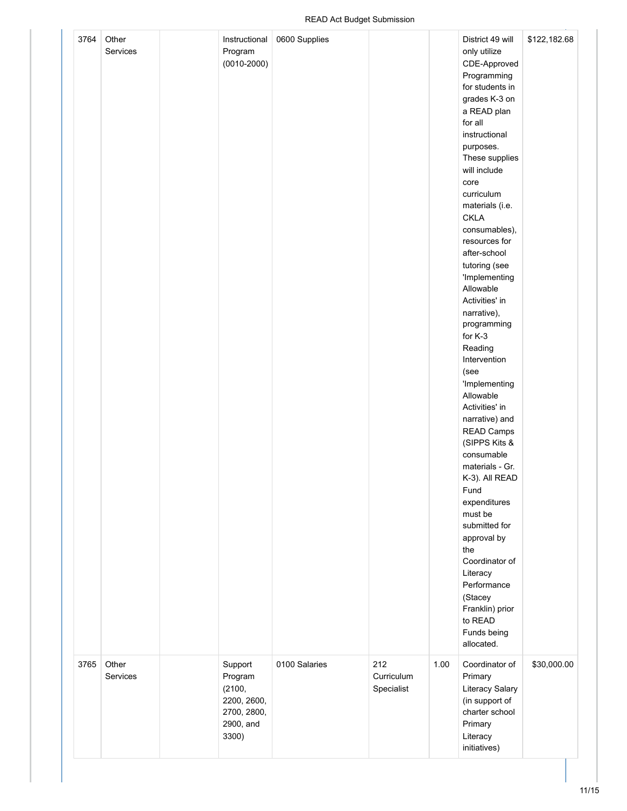| 3764 | Other<br>Services | Instructional<br>Program<br>$(0010 - 2000)$                                      | 0600 Supplies |                                 |      | District 49 will<br>only utilize<br>CDE-Approved<br>Programming<br>for students in<br>grades K-3 on<br>a READ plan<br>for all<br>instructional<br>purposes.<br>These supplies<br>will include<br>core<br>curriculum<br>materials (i.e.<br><b>CKLA</b><br>consumables),<br>resources for<br>after-school<br>tutoring (see<br>'Implementing<br>Allowable<br>Activities' in<br>narrative),<br>programming<br>for K-3<br>Reading<br>Intervention<br>(see<br>'Implementing<br>Allowable<br>Activities' in<br>narrative) and<br><b>READ Camps</b><br>(SIPPS Kits &<br>consumable<br>materials - Gr.<br>K-3). All READ<br>Fund<br>expenditures<br>must be<br>submitted for<br>approval by<br>the<br>Coordinator of<br>Literacy<br>Performance<br>(Stacey<br>Franklin) prior<br>to READ<br>Funds being<br>allocated. | \$122,182.68 |
|------|-------------------|----------------------------------------------------------------------------------|---------------|---------------------------------|------|--------------------------------------------------------------------------------------------------------------------------------------------------------------------------------------------------------------------------------------------------------------------------------------------------------------------------------------------------------------------------------------------------------------------------------------------------------------------------------------------------------------------------------------------------------------------------------------------------------------------------------------------------------------------------------------------------------------------------------------------------------------------------------------------------------------|--------------|
| 3765 | Other<br>Services | Support<br>Program<br>(2100,<br>2200, 2600,<br>2700, 2800,<br>2900, and<br>3300) | 0100 Salaries | 212<br>Curriculum<br>Specialist | 1.00 | Coordinator of<br>Primary<br>Literacy Salary<br>(in support of<br>charter school<br>Primary<br>Literacy<br>initiatives)                                                                                                                                                                                                                                                                                                                                                                                                                                                                                                                                                                                                                                                                                      | \$30,000.00  |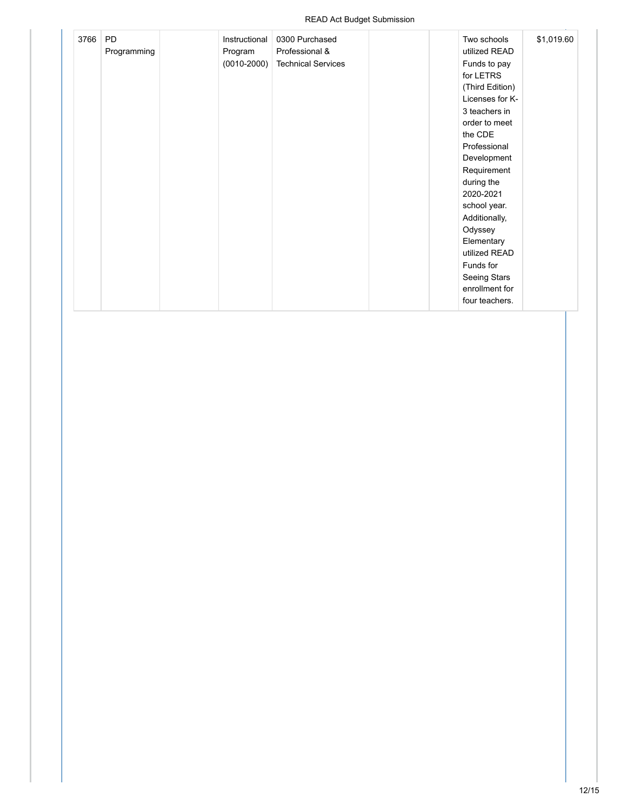| 3766 | <b>PD</b><br>Programming | Instructional<br>Program | 0300 Purchased<br>Professional & | Two schools<br>utilized READ | \$1,019.60 |
|------|--------------------------|--------------------------|----------------------------------|------------------------------|------------|
|      |                          | $(0010 - 2000)$          | <b>Technical Services</b>        | Funds to pay<br>for LETRS    |            |
|      |                          |                          |                                  | (Third Edition)              |            |
|      |                          |                          |                                  | Licenses for K-              |            |
|      |                          |                          |                                  | 3 teachers in                |            |
|      |                          |                          |                                  | order to meet                |            |
|      |                          |                          |                                  | the CDE                      |            |
|      |                          |                          |                                  |                              |            |
|      |                          |                          |                                  | Professional                 |            |
|      |                          |                          |                                  | Development                  |            |
|      |                          |                          |                                  | Requirement                  |            |
|      |                          |                          |                                  | during the                   |            |
|      |                          |                          |                                  | 2020-2021                    |            |
|      |                          |                          |                                  | school year.                 |            |
|      |                          |                          |                                  | Additionally,                |            |
|      |                          |                          |                                  | Odyssey                      |            |
|      |                          |                          |                                  | Elementary                   |            |
|      |                          |                          |                                  | utilized READ                |            |
|      |                          |                          |                                  | Funds for                    |            |
|      |                          |                          |                                  | Seeing Stars                 |            |
|      |                          |                          |                                  | enrollment for               |            |
|      |                          |                          |                                  | four teachers.               |            |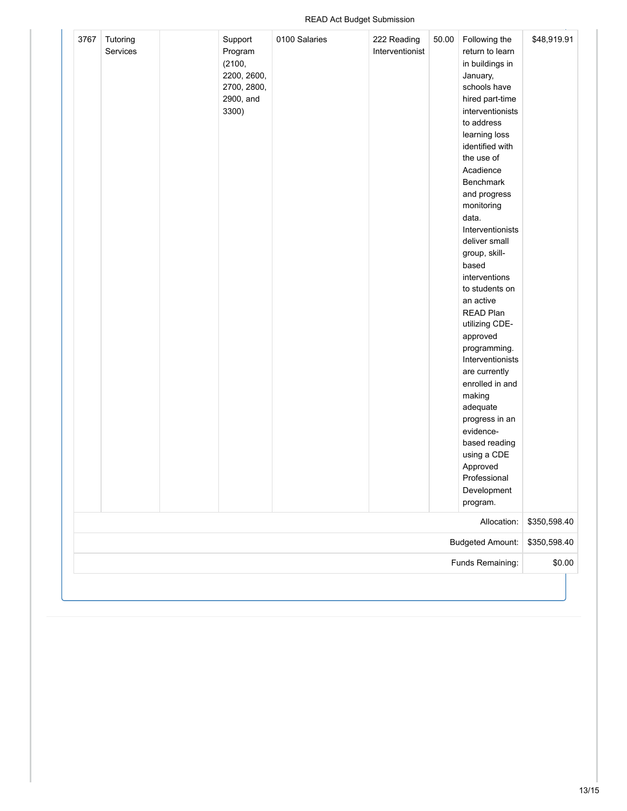| 3767                    | Tutoring<br>Services |  | Support<br>Program<br>(2100,<br>2200, 2600,<br>2700, 2800,<br>2900, and<br>3300) | 0100 Salaries | 222 Reading<br>Interventionist | 50.00        | Following the<br>return to learn<br>in buildings in<br>January,<br>schools have<br>hired part-time<br>interventionists<br>to address<br>learning loss<br>identified with<br>the use of<br>Acadience<br>Benchmark<br>and progress<br>monitoring<br>data.<br>Interventionists<br>deliver small<br>group, skill-<br>based<br>interventions<br>to students on<br>an active<br>READ Plan<br>utilizing CDE-<br>approved<br>programming.<br>Interventionists<br>are currently<br>enrolled in and<br>making<br>adequate<br>progress in an<br>evidence-<br>based reading<br>using a CDE<br>Approved<br>Professional<br>Development | \$48,919.91 |
|-------------------------|----------------------|--|----------------------------------------------------------------------------------|---------------|--------------------------------|--------------|---------------------------------------------------------------------------------------------------------------------------------------------------------------------------------------------------------------------------------------------------------------------------------------------------------------------------------------------------------------------------------------------------------------------------------------------------------------------------------------------------------------------------------------------------------------------------------------------------------------------------|-------------|
|                         |                      |  |                                                                                  |               |                                |              | program.                                                                                                                                                                                                                                                                                                                                                                                                                                                                                                                                                                                                                  |             |
| Allocation:             |                      |  |                                                                                  |               |                                |              | \$350,598.40                                                                                                                                                                                                                                                                                                                                                                                                                                                                                                                                                                                                              |             |
| <b>Budgeted Amount:</b> |                      |  |                                                                                  |               |                                | \$350,598.40 |                                                                                                                                                                                                                                                                                                                                                                                                                                                                                                                                                                                                                           |             |
| Funds Remaining:        |                      |  |                                                                                  |               |                                | \$0.00       |                                                                                                                                                                                                                                                                                                                                                                                                                                                                                                                                                                                                                           |             |